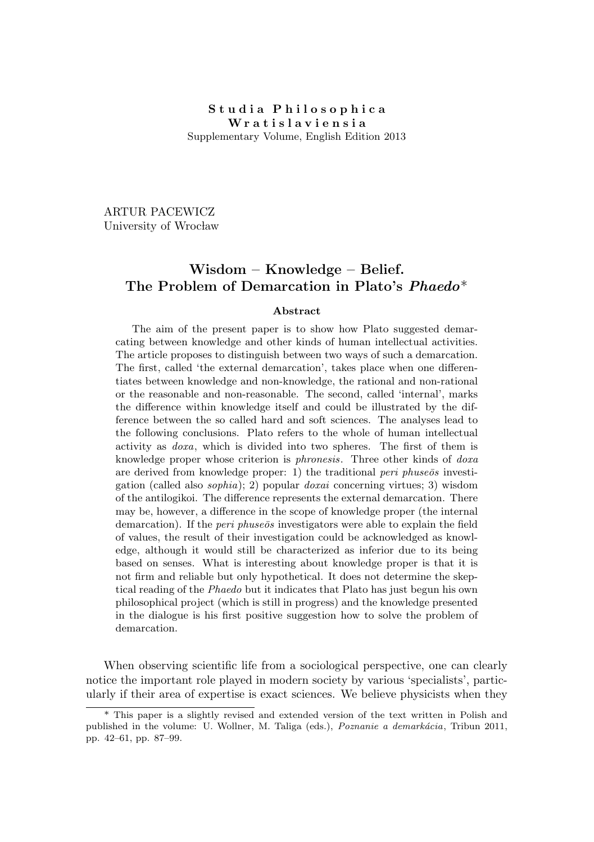## Studia Philosophica W r a t i s l a v i e n s i a Supplementary Volume, English Edition 2013

ARTUR PACEWICZ University of Wrocław

## Wisdom – Knowledge – Belief. The Problem of Demarcation in Plato's Phaedo\*

## Abstract

The aim of the present paper is to show how Plato suggested demarcating between knowledge and other kinds of human intellectual activities. The article proposes to distinguish between two ways of such a demarcation. The first, called 'the external demarcation', takes place when one differentiates between knowledge and non-knowledge, the rational and non-rational or the reasonable and non-reasonable. The second, called 'internal', marks the difference within knowledge itself and could be illustrated by the difference between the so called hard and soft sciences. The analyses lead to the following conclusions. Plato refers to the whole of human intellectual activity as doxa, which is divided into two spheres. The first of them is knowledge proper whose criterion is phronesis. Three other kinds of doxa are derived from knowledge proper: 1) the traditional peri phuse  $\bar{o}s$  investigation (called also sophia); 2) popular doxai concerning virtues; 3) wisdom of the antilogikoi. The difference represents the external demarcation. There may be, however, a difference in the scope of knowledge proper (the internal demarcation). If the *peri phuse* os investigators were able to explain the field of values, the result of their investigation could be acknowledged as knowledge, although it would still be characterized as inferior due to its being based on senses. What is interesting about knowledge proper is that it is not firm and reliable but only hypothetical. It does not determine the skeptical reading of the Phaedo but it indicates that Plato has just begun his own philosophical project (which is still in progress) and the knowledge presented in the dialogue is his first positive suggestion how to solve the problem of demarcation.

When observing scientific life from a sociological perspective, one can clearly notice the important role played in modern society by various 'specialists', particularly if their area of expertise is exact sciences. We believe physicists when they

<sup>\*</sup> This paper is a slightly revised and extended version of the text written in Polish and published in the volume: U. Wollner, M. Taliga (eds.),  $Poznanie\ a\ demarkácia$ , Tribun 2011, pp. 42–61, pp. 87–99.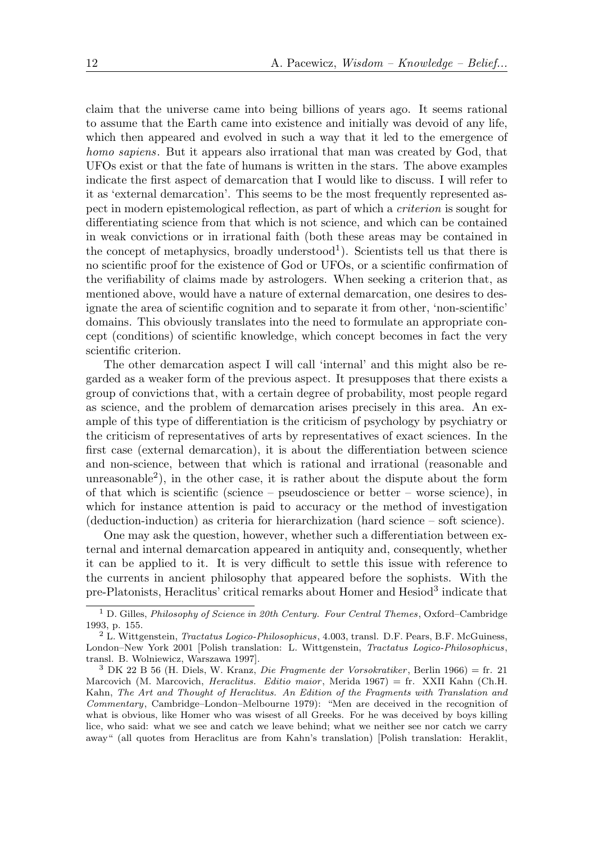claim that the universe came into being billions of years ago. It seems rational to assume that the Earth came into existence and initially was devoid of any life, which then appeared and evolved in such a way that it led to the emergence of homo sapiens. But it appears also irrational that man was created by God, that UFOs exist or that the fate of humans is written in the stars. The above examples indicate the first aspect of demarcation that I would like to discuss. I will refer to it as 'external demarcation'. This seems to be the most frequently represented aspect in modern epistemological reflection, as part of which a criterion is sought for differentiating science from that which is not science, and which can be contained in weak convictions or in irrational faith (both these areas may be contained in the concept of metaphysics, broadly understood<sup>1</sup>). Scientists tell us that there is no scientific proof for the existence of God or UFOs, or a scientific confirmation of the verifiability of claims made by astrologers. When seeking a criterion that, as mentioned above, would have a nature of external demarcation, one desires to designate the area of scientific cognition and to separate it from other, 'non-scientific' domains. This obviously translates into the need to formulate an appropriate concept (conditions) of scientific knowledge, which concept becomes in fact the very scientific criterion.

The other demarcation aspect I will call 'internal' and this might also be regarded as a weaker form of the previous aspect. It presupposes that there exists a group of convictions that, with a certain degree of probability, most people regard as science, and the problem of demarcation arises precisely in this area. An example of this type of differentiation is the criticism of psychology by psychiatry or the criticism of representatives of arts by representatives of exact sciences. In the first case (external demarcation), it is about the differentiation between science and non-science, between that which is rational and irrational (reasonable and unreasonable<sup>2</sup> ), in the other case, it is rather about the dispute about the form of that which is scientific (science – pseudoscience or better – worse science), in which for instance attention is paid to accuracy or the method of investigation (deduction-induction) as criteria for hierarchization (hard science – soft science).

One may ask the question, however, whether such a differentiation between external and internal demarcation appeared in antiquity and, consequently, whether it can be applied to it. It is very difficult to settle this issue with reference to the currents in ancient philosophy that appeared before the sophists. With the pre-Platonists, Heraclitus' critical remarks about Homer and Hesiod<sup>3</sup> indicate that

 $1$  D. Gilles, *Philosophy of Science in 20th Century. Four Central Themes*, Oxford–Cambridge 1993, p. 155.

<sup>2</sup> L. Wittgenstein, Tractatus Logico-Philosophicus, 4.003, transl. D.F. Pears, B.F. McGuiness, London–New York 2001 [Polish translation: L. Wittgenstein, Tractatus Logico-Philosophicus, transl. B. Wolniewicz, Warszawa 1997].

 $3\text{ DK } 22\text{ B } 56\text{ (H. Diels, W. Kranz, } Die Fragmente der Vorsokratiker, Berlin 1966) = fr. 21$ Marcovich (M. Marcovich, *Heraclitus. Editio maior*, Merida 1967) = fr. XXII Kahn (Ch.H. Kahn, The Art and Thought of Heraclitus. An Edition of the Fragments with Translation and Commentary, Cambridge–London–Melbourne 1979): "Men are deceived in the recognition of what is obvious, like Homer who was wisest of all Greeks. For he was deceived by boys killing lice, who said: what we see and catch we leave behind; what we neither see nor catch we carry away" (all quotes from Heraclitus are from Kahn's translation) [Polish translation: Heraklit,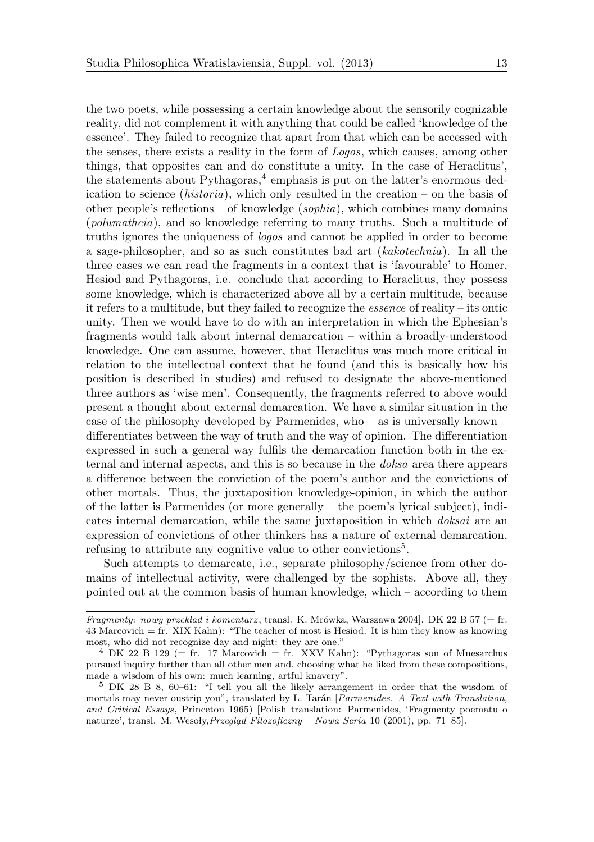the two poets, while possessing a certain knowledge about the sensorily cognizable reality, did not complement it with anything that could be called 'knowledge of the essence'. They failed to recognize that apart from that which can be accessed with the senses, there exists a reality in the form of Logos, which causes, among other things, that opposites can and do constitute a unity. In the case of Heraclitus', the statements about Pythagoras,<sup>4</sup> emphasis is put on the latter's enormous dedication to science (historia), which only resulted in the creation – on the basis of other people's reflections – of knowledge  $(sophia)$ , which combines many domains (polumatheia), and so knowledge referring to many truths. Such a multitude of truths ignores the uniqueness of logos and cannot be applied in order to become a sage-philosopher, and so as such constitutes bad art (kakotechnia). In all the three cases we can read the fragments in a context that is 'favourable' to Homer, Hesiod and Pythagoras, i.e. conclude that according to Heraclitus, they possess some knowledge, which is characterized above all by a certain multitude, because it refers to a multitude, but they failed to recognize the essence of reality – its ontic unity. Then we would have to do with an interpretation in which the Ephesian's fragments would talk about internal demarcation – within a broadly-understood knowledge. One can assume, however, that Heraclitus was much more critical in relation to the intellectual context that he found (and this is basically how his position is described in studies) and refused to designate the above-mentioned three authors as 'wise men'. Consequently, the fragments referred to above would present a thought about external demarcation. We have a similar situation in the case of the philosophy developed by Parmenides, who – as is universally known – differentiates between the way of truth and the way of opinion. The differentiation expressed in such a general way fulfils the demarcation function both in the external and internal aspects, and this is so because in the doksa area there appears a difference between the conviction of the poem's author and the convictions of other mortals. Thus, the juxtaposition knowledge-opinion, in which the author of the latter is Parmenides (or more generally – the poem's lyrical subject), indicates internal demarcation, while the same juxtaposition in which doksai are an expression of convictions of other thinkers has a nature of external demarcation, refusing to attribute any cognitive value to other convictions<sup>5</sup>.

Such attempts to demarcate, i.e., separate philosophy/science from other domains of intellectual activity, were challenged by the sophists. Above all, they pointed out at the common basis of human knowledge, which – according to them

Fragmenty: nowy przekład i komentarz, transl. K. Mrówka, Warszawa 2004]. DK 22 B 57 (= fr. 43 Marcovich = fr. XIX Kahn): "The teacher of most is Hesiod. It is him they know as knowing most, who did not recognize day and night: they are one."

<sup>&</sup>lt;sup>4</sup> DK 22 B 129 (= fr. 17 Marcovich = fr. XXV Kahn): "Pythagoras son of Mnesarchus pursued inquiry further than all other men and, choosing what he liked from these compositions, made a wisdom of his own: much learning, artful knavery".

<sup>5</sup> DK 28 B 8, 60–61: "I tell you all the likely arrangement in order that the wisdom of mortals may never oustrip you", translated by L. Tarán [*Parmenides. A Text with Translation*, and Critical Essays, Princeton 1965) [Polish translation: Parmenides, 'Fragmenty poematu o naturze', transl. M. Wesoły, Przegląd Filozoficzny – Nowa Seria 10 (2001), pp. 71–85].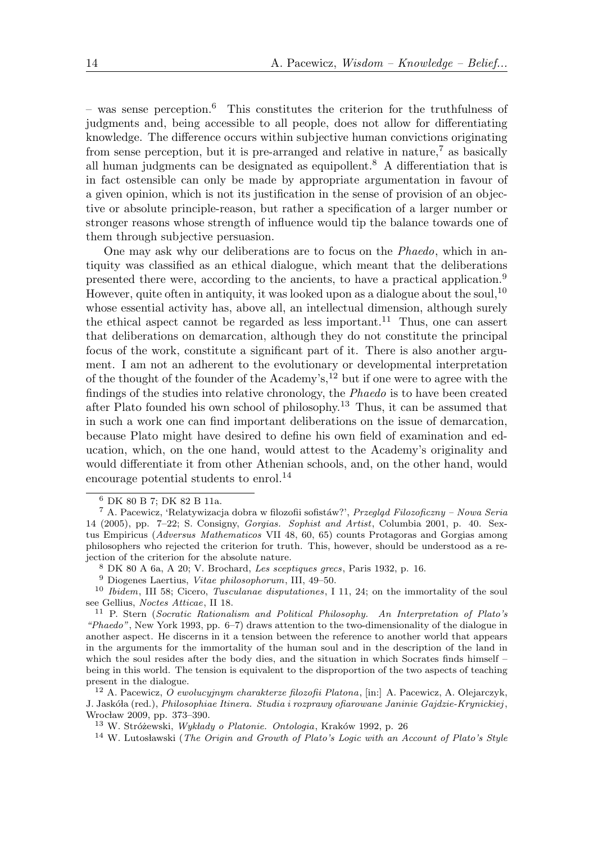– was sense perception.<sup>6</sup> This constitutes the criterion for the truthfulness of judgments and, being accessible to all people, does not allow for differentiating knowledge. The difference occurs within subjective human convictions originating from sense perception, but it is pre-arranged and relative in nature,<sup> $7$ </sup> as basically all human judgments can be designated as equipollent.<sup>8</sup> A differentiation that is in fact ostensible can only be made by appropriate argumentation in favour of a given opinion, which is not its justification in the sense of provision of an objective or absolute principle-reason, but rather a specification of a larger number or stronger reasons whose strength of influence would tip the balance towards one of them through subjective persuasion.

One may ask why our deliberations are to focus on the Phaedo, which in antiquity was classified as an ethical dialogue, which meant that the deliberations presented there were, according to the ancients, to have a practical application.<sup>9</sup> However, quite often in antiquity, it was looked upon as a dialogue about the soul,<sup>10</sup> whose essential activity has, above all, an intellectual dimension, although surely the ethical aspect cannot be regarded as less important.<sup>11</sup> Thus, one can assert that deliberations on demarcation, although they do not constitute the principal focus of the work, constitute a significant part of it. There is also another argument. I am not an adherent to the evolutionary or developmental interpretation of the thought of the founder of the Academy's,<sup>12</sup> but if one were to agree with the findings of the studies into relative chronology, the Phaedo is to have been created after Plato founded his own school of philosophy.<sup>13</sup> Thus, it can be assumed that in such a work one can find important deliberations on the issue of demarcation, because Plato might have desired to define his own field of examination and education, which, on the one hand, would attest to the Academy's originality and would differentiate it from other Athenian schools, and, on the other hand, would encourage potential students to enrol.<sup>14</sup>

<sup>6</sup> DK 80 B 7; DK 82 B 11a.

 $7$  A. Pacewicz, 'Relatywizacja dobra w filozofii sofistáw?', Przegląd Filozoficzny – Nowa Seria 14 (2005), pp. 7–22; S. Consigny, Gorgias. Sophist and Artist, Columbia 2001, p. 40. Sextus Empiricus (Adversus Mathematicos VII 48, 60, 65) counts Protagoras and Gorgias among philosophers who rejected the criterion for truth. This, however, should be understood as a rejection of the criterion for the absolute nature.

<sup>8</sup> DK 80 A 6a, A 20; V. Brochard, Les sceptiques grecs, Paris 1932, p. 16.

<sup>9</sup> Diogenes Laertius, Vitae philosophorum, III, 49–50.

<sup>&</sup>lt;sup>10</sup> Ibidem, III 58; Cicero, Tusculanae disputationes, I 11, 24; on the immortality of the soul see Gellius, Noctes Atticae, II 18.

<sup>11</sup> P. Stern (Socratic Rationalism and Political Philosophy. An Interpretation of Plato's "Phaedo", New York 1993, pp. 6–7) draws attention to the two-dimensionality of the dialogue in another aspect. He discerns in it a tension between the reference to another world that appears in the arguments for the immortality of the human soul and in the description of the land in which the soul resides after the body dies, and the situation in which Socrates finds himself – being in this world. The tension is equivalent to the disproportion of the two aspects of teaching present in the dialogue.

<sup>&</sup>lt;sup>12</sup> A. Pacewicz, O ewolucyjnym charakterze filozofii Platona, [in:] A. Pacewicz, A. Olejarczyk, J. Jaskóła (red.), Philosophiae Itinera. Studia i rozprawy ofiarowane Janinie Gajdzie-Krynickiej, Wrocław 2009, pp. 373-390.

<sup>&</sup>lt;sup>13</sup> W. Stróżewski, Wykłady o Platonie. Ontologia, Kraków 1992, p. 26

 $14$  W. Lutosławski (The Origin and Growth of Plato's Logic with an Account of Plato's Style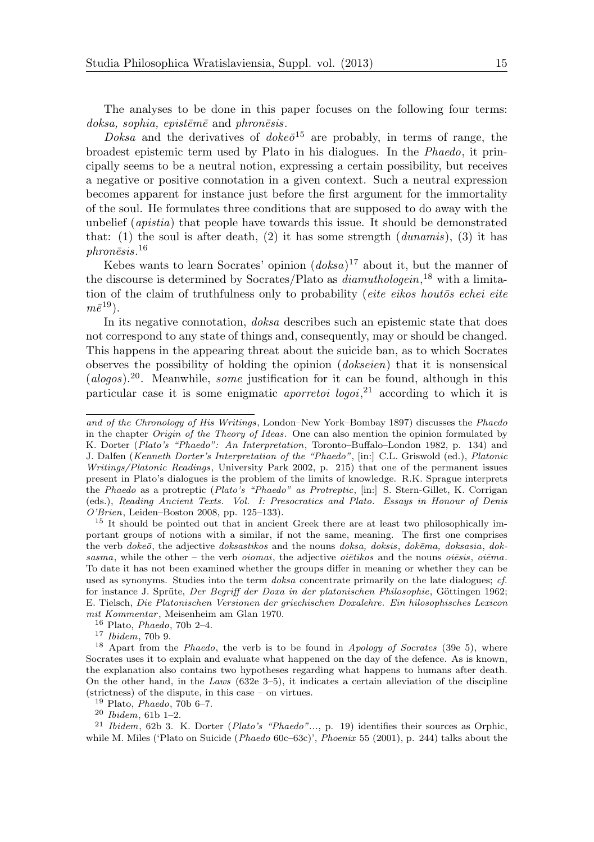The analyses to be done in this paper focuses on the following four terms: doksa, sophia, episteme and phronesis.

*Doksa* and the derivatives of  $doke\bar{o}^{15}$  are probably, in terms of range, the broadest epistemic term used by Plato in his dialogues. In the Phaedo, it principally seems to be a neutral notion, expressing a certain possibility, but receives a negative or positive connotation in a given context. Such a neutral expression becomes apparent for instance just before the first argument for the immortality of the soul. He formulates three conditions that are supposed to do away with the unbelief (apistia) that people have towards this issue. It should be demonstrated that: (1) the soul is after death, (2) it has some strength (dunamis), (3) it has  $phon\bar e s is. ^{16}$ 

Kebes wants to learn Socrates' opinion  $(doksa)^{17}$  about it, but the manner of the discourse is determined by Socrates/Plato as *diamuthologein*<sup>18</sup> with a limitation of the claim of truthfulness only to probability (*eite eikos houtos echei eite*  $m\bar{e}^{19}$ ).

In its negative connotation, doksa describes such an epistemic state that does not correspond to any state of things and, consequently, may or should be changed. This happens in the appearing threat about the suicide ban, as to which Socrates observes the possibility of holding the opinion (dokseien) that it is nonsensical  $(alogos).^{20}$ . Meanwhile, some justification for it can be found, although in this particular case it is some enigmatic *aporretoi logoi*,<sup>21</sup> according to which it is

<sup>17</sup> Ibidem, 70b 9.

and of the Chronology of His Writings, London–New York–Bombay 1897) discusses the Phaedo in the chapter Origin of the Theory of Ideas. One can also mention the opinion formulated by K. Dorter (Plato's "Phaedo": An Interpretation, Toronto–Buffalo–London 1982, p. 134) and J. Dalfen (Kenneth Dorter's Interpretation of the "Phaedo", [in:] C.L. Griswold (ed.), Platonic Writings/Platonic Readings, University Park 2002, p. 215) that one of the permanent issues present in Plato's dialogues is the problem of the limits of knowledge. R.K. Sprague interprets the Phaedo as a protreptic (Plato's "Phaedo" as Protreptic, [in:] S. Stern-Gillet, K. Corrigan (eds.), Reading Ancient Texts. Vol. I: Presocratics and Plato. Essays in Honour of Denis O'Brien, Leiden–Boston 2008, pp. 125–133).

<sup>&</sup>lt;sup>15</sup> It should be pointed out that in ancient Greek there are at least two philosophically important groups of notions with a similar, if not the same, meaning. The first one comprises the verb doke $\bar{o}$ , the adjective doksastikos and the nouns doksa, doksis, dokema, doksasia, doksasma, while the other – the verb *oiomai*, the adjective *oiētikos* and the nouns *oiēsis*, *oiēma*. To date it has not been examined whether the groups differ in meaning or whether they can be used as synonyms. Studies into the term *doksa* concentrate primarily on the late dialogues; cf. for instance J. Sprüte, Der Begriff der Doxa in der platonischen Philosophie, Göttingen 1962; E. Tielsch, Die Platonischen Versionen der griechischen Doxalehre. Ein hilosophisches Lexicon mit Kommentar, Meisenheim am Glan 1970.

 $16$  Plato, *Phaedo*, 70b 2–4.

<sup>&</sup>lt;sup>18</sup> Apart from the *Phaedo*, the verb is to be found in *Apology of Socrates* (39e 5), where Socrates uses it to explain and evaluate what happened on the day of the defence. As is known, the explanation also contains two hypotheses regarding what happens to humans after death. On the other hand, in the Laws (632e 3–5), it indicates a certain alleviation of the discipline (strictness) of the dispute, in this case – on virtues.

 $19$  Plato, *Phaedo*, 70b 6–7.

<sup>20</sup> Ibidem, 61b 1–2.

<sup>&</sup>lt;sup>21</sup> Ibidem, 62b 3. K. Dorter (Plato's "Phaedo"..., p. 19) identifies their sources as Orphic, while M. Miles ('Plato on Suicide (*Phaedo* 60c–63c)', *Phoenix* 55 (2001), p. 244) talks about the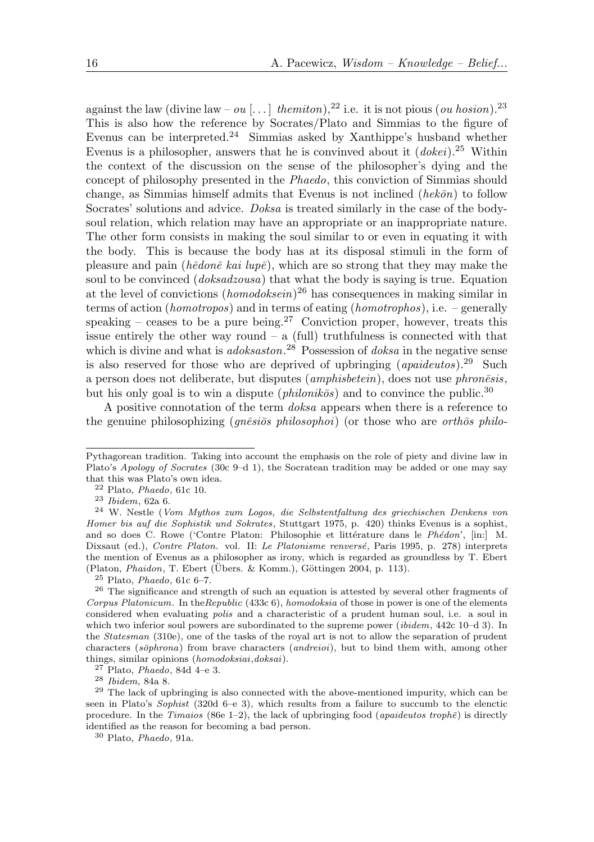against the law (divine law – ou [...] the miton),<sup>22</sup> i.e. it is not pious (ou hosion).<sup>23</sup> This is also how the reference by Socrates/Plato and Simmias to the figure of Evenus can be interpreted.<sup>24</sup> Simmias asked by Xanthippe's husband whether Evenus is a philosopher, answers that he is convinved about it  $(dokei).^{25}$  Within the context of the discussion on the sense of the philosopher's dying and the concept of philosophy presented in the Phaedo, this conviction of Simmias should change, as Simmias himself admits that Evenus is not inclined  $(hek\bar{o}n)$  to follow Socrates' solutions and advice. Doksa is treated similarly in the case of the bodysoul relation, which relation may have an appropriate or an inappropriate nature. The other form consists in making the soul similar to or even in equating it with the body. This is because the body has at its disposal stimuli in the form of pleasure and pain ( $h\bar{e}$  *don* $\bar{e}$  *kai lup* $\bar{e}$ ), which are so strong that they may make the soul to be convinced *(doksadzousa)* that what the body is saying is true. Equation at the level of convictions  $(homodoksein)^{26}$  has consequences in making similar in terms of action (homotropos) and in terms of eating (homotrophos), i.e. – generally speaking – ceases to be a pure being.<sup>27</sup> Conviction proper, however, treats this issue entirely the other way round  $-$  a (full) truthfulness is connected with that which is divine and what is *adoksaston*.<sup>28</sup> Possession of *doksa* in the negative sense is also reserved for those who are deprived of upbringing  $(apaideutos).^{29}$  Such a person does not deliberate, but disputes  $(amphisbetein)$ , does not use  $phron\bar{e}sis$ . but his only goal is to win a dispute (*philonikos*) and to convince the public.<sup>30</sup>

A positive connotation of the term doksa appears when there is a reference to the genuine philosophizing ( $qn\bar{e}si\bar{o}s$  philosophoi) (or those who are orthos philo-

Pythagorean tradition. Taking into account the emphasis on the role of piety and divine law in Plato's Apology of Socrates (30c 9–d 1), the Socratean tradition may be added or one may say that this was Plato's own idea.

 $22$  Plato, *Phaedo*, 61c 10.

<sup>23</sup> Ibidem, 62a 6.

<sup>24</sup> W. Nestle (Vom Mythos zum Logos, die Selbstentfaltung des griechischen Denkens von Homer bis auf die Sophistik und Sokrates, Stuttgart 1975, p. 420) thinks Evenus is a sophist, and so does C. Rowe ('Contre Platon: Philosophie et littérature dans le Phédon', [in:] M. Dixsaut (ed.), Contre Platon. vol. II: Le Platonisme renversé, Paris 1995, p. 278) interprets the mention of Evenus as a philosopher as irony, which is regarded as groundless by T. Ebert (Platon, *Phaidon*, T. Ebert (Übers. & Komm.), Göttingen 2004, p. 113).

 $25$  Plato, *Phaedo*, 61c 6-7.

<sup>&</sup>lt;sup>26</sup> The significance and strength of such an equation is attested by several other fragments of Corpus Platonicum. In the Republic (433c 6), homodoksia of those in power is one of the elements considered when evaluating polis and a characteristic of a prudent human soul, i.e. a soul in which two inferior soul powers are subordinated to the supreme power (*ibidem*, 442c 10–d 3). In the Statesman (310e), one of the tasks of the royal art is not to allow the separation of prudent characters (sōphrona) from brave characters (andreioi), but to bind them with, among other things, similar opinions (homodoksiai,doksai).

 $27$  Plato, *Phaedo*, 84d 4–e 3.

<sup>28</sup> Ibidem, 84a 8.

<sup>29</sup> The lack of upbringing is also connected with the above-mentioned impurity, which can be seen in Plato's Sophist  $(320d 6-e 3)$ , which results from a failure to succumb to the elenctic procedure. In the Timaios (86e 1–2), the lack of upbringing food (apaideutos trophe) is directly identified as the reason for becoming a bad person.

<sup>30</sup> Plato, Phaedo, 91a.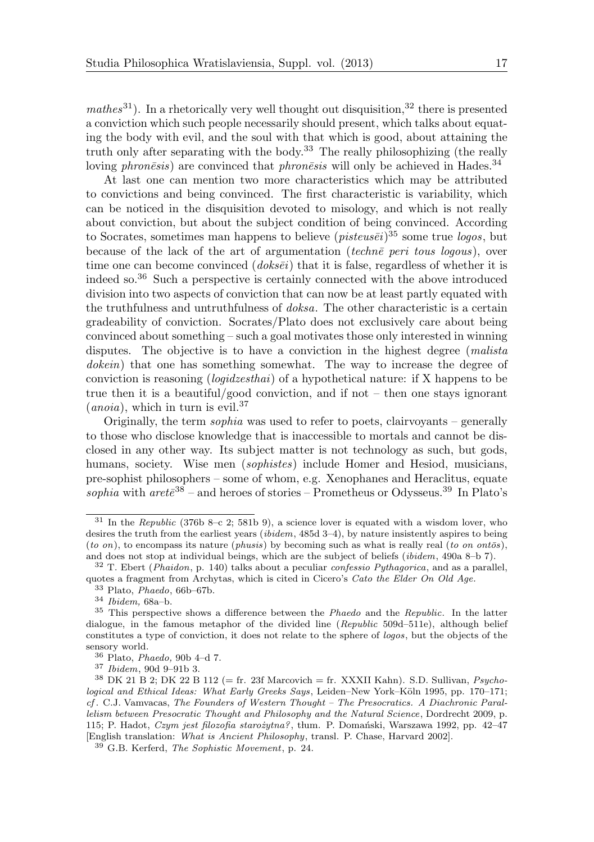$mathes^{31}$ ). In a rhetorically very well thought out disquisition,  $32$  there is presented a conviction which such people necessarily should present, which talks about equating the body with evil, and the soul with that which is good, about attaining the truth only after separating with the body.<sup>33</sup> The really philosophizing (the really loving phron $\bar{e}$ sis) are convinced that phron $\bar{e}$ sis will only be achieved in Hades.<sup>34</sup>

At last one can mention two more characteristics which may be attributed to convictions and being convinced. The first characteristic is variability, which can be noticed in the disquisition devoted to misology, and which is not really about conviction, but about the subject condition of being convinced. According to Socrates, sometimes man happens to believe  $(pisteus\bar{e}i)^{35}$  some true logos, but because of the lack of the art of argumentation (techne peri tous logous), over time one can become convinced  $(doks\bar{e}i)$  that it is false, regardless of whether it is indeed so.<sup>36</sup> Such a perspective is certainly connected with the above introduced division into two aspects of conviction that can now be at least partly equated with the truthfulness and untruthfulness of doksa. The other characteristic is a certain gradeability of conviction. Socrates/Plato does not exclusively care about being convinced about something – such a goal motivates those only interested in winning disputes. The objective is to have a conviction in the highest degree (*malista* dokein) that one has something somewhat. The way to increase the degree of conviction is reasoning (logidzesthai) of a hypothetical nature: if X happens to be true then it is a beautiful/good conviction, and if not – then one stays ignorant  $(anoia)$ , which in turn is evil.<sup>37</sup>

Originally, the term *sophia* was used to refer to poets, clairvoyants – generally to those who disclose knowledge that is inaccessible to mortals and cannot be disclosed in any other way. Its subject matter is not technology as such, but gods, humans, society. Wise men *(sophistes)* include Homer and Hesiod, musicians, pre-sophist philosophers – some of whom, e.g. Xenophanes and Heraclitus, equate sophia with are  $te^{38}$  – and heroes of stories – Prometheus or Odysseus.<sup>39</sup> In Plato's

 $31$  In the Republic (376b 8–c 2; 581b 9), a science lover is equated with a wisdom lover, who desires the truth from the earliest years (ibidem, 485d 3–4), by nature insistently aspires to being (to on), to encompass its nature (phusis) by becoming such as what is really real (to on ont $\bar{c}s$ ), and does not stop at individual beings, which are the subject of beliefs (ibidem, 490a 8–b 7).

 $32$  T. Ebert (*Phaidon*, p. 140) talks about a peculiar *confessio Pythagorica*, and as a parallel, quotes a fragment from Archytas, which is cited in Cicero's Cato the Elder On Old Age.

 $33$  Plato, Phaedo, 66b–67b.

<sup>34</sup> Ibidem, 68a–b.

<sup>&</sup>lt;sup>35</sup> This perspective shows a difference between the *Phaedo* and the *Republic*. In the latter dialogue, in the famous metaphor of the divided line (Republic 509d–511e), although belief constitutes a type of conviction, it does not relate to the sphere of logos, but the objects of the sensory world.

 $36$  Plato, *Phaedo*, 90b 4–d 7.

<sup>37</sup> Ibidem, 90d 9–91b 3.

 $38$  DK 21 B 2; DK 22 B 112 (= fr. 23f Marcovich = fr. XXXII Kahn). S.D. Sullivan, *Psycho*logical and Ethical Ideas: What Early Greeks Says, Leiden–New York–Köln 1995, pp. 170–171; cf . C.J. Vamvacas, The Founders of Western Thought – The Presocratics. A Diachronic Parallelism between Presocratic Thought and Philosophy and the Natural Science, Dordrecht 2009, p. 115; P. Hadot, Czym jest filozofia starożytna?, tłum. P. Domański, Warszawa 1992, pp. 42–47 [English translation: What is Ancient Philosophy, transl. P. Chase, Harvard 2002].

 $39\degree$  G.B. Kerferd, The Sophistic Movement, p. 24.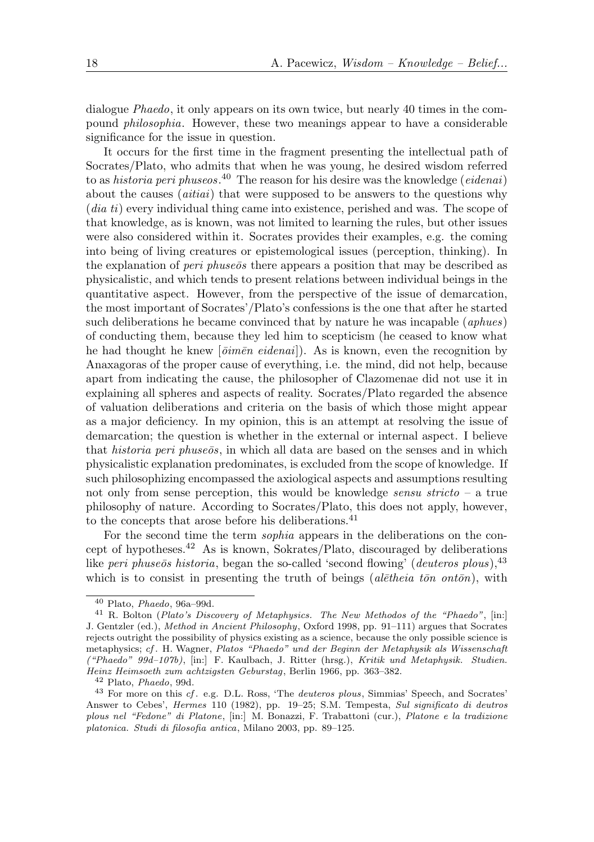dialogue Phaedo, it only appears on its own twice, but nearly 40 times in the compound philosophia. However, these two meanings appear to have a considerable significance for the issue in question.

It occurs for the first time in the fragment presenting the intellectual path of Socrates/Plato, who admits that when he was young, he desired wisdom referred to as *historia peri phuseos*.<sup>40</sup> The reason for his desire was the knowledge (*eidenai*) about the causes (aitiai) that were supposed to be answers to the questions why (dia ti) every individual thing came into existence, perished and was. The scope of that knowledge, as is known, was not limited to learning the rules, but other issues were also considered within it. Socrates provides their examples, e.g. the coming into being of living creatures or epistemological issues (perception, thinking). In the explanation of *peri phuse*  $\bar{\delta}$  there appears a position that may be described as physicalistic, and which tends to present relations between individual beings in the quantitative aspect. However, from the perspective of the issue of demarcation, the most important of Socrates'/Plato's confessions is the one that after he started such deliberations he became convinced that by nature he was incapable (aphues) of conducting them, because they led him to scepticism (he ceased to know what he had thought he knew  $|\bar{\text{o}}\text{im}\bar{\text{e}}\text{in}\text{e}\text{in}\text{a}\text{in}|$ ). As is known, even the recognition by Anaxagoras of the proper cause of everything, i.e. the mind, did not help, because apart from indicating the cause, the philosopher of Clazomenae did not use it in explaining all spheres and aspects of reality. Socrates/Plato regarded the absence of valuation deliberations and criteria on the basis of which those might appear as a major deficiency. In my opinion, this is an attempt at resolving the issue of demarcation; the question is whether in the external or internal aspect. I believe that *historia peri phuse* $\bar{o}s$ , in which all data are based on the senses and in which physicalistic explanation predominates, is excluded from the scope of knowledge. If such philosophizing encompassed the axiological aspects and assumptions resulting not only from sense perception, this would be knowledge *sensu stricto* – a true philosophy of nature. According to Socrates/Plato, this does not apply, however, to the concepts that arose before his deliberations.<sup>41</sup>

For the second time the term sophia appears in the deliberations on the concept of hypotheses.<sup>42</sup> As is known, Sokrates/Plato, discouraged by deliberations like peri phuse $\bar{\sigma}s$  historia, began the so-called 'second flowing' (deuteros plous),  $^{43}$ which is to consist in presenting the truth of beings (aletheia ton onton), with

 $40$  Plato, *Phaedo*, 96a–99d.

<sup>&</sup>lt;sup>41</sup> R. Bolton (Plato's Discovery of Metaphysics. The New Methodos of the "Phaedo", [in:] J. Gentzler (ed.), Method in Ancient Philosophy, Oxford 1998, pp. 91–111) argues that Socrates rejects outright the possibility of physics existing as a science, because the only possible science is metaphysics; cf . H. Wagner, Platos "Phaedo" und der Beginn der Metaphysik als Wissenschaft ("Phaedo" 99d–107b), [in:] F. Kaulbach, J. Ritter (hrsg.), Kritik und Metaphysik. Studien. Heinz Heimsoeth zum achtzigsten Geburstag, Berlin 1966, pp. 363–382.

<sup>42</sup> Plato, Phaedo, 99d.

<sup>&</sup>lt;sup>43</sup> For more on this cf. e.g. D.L. Ross, 'The *deuteros plous*, Simmias' Speech, and Socrates' Answer to Cebes', Hermes 110 (1982), pp. 19–25; S.M. Tempesta, Sul significato di deutros plous nel "Fedone" di Platone, [in:] M. Bonazzi, F. Trabattoni (cur.), Platone e la tradizione platonica. Studi di filosofia antica, Milano 2003, pp. 89–125.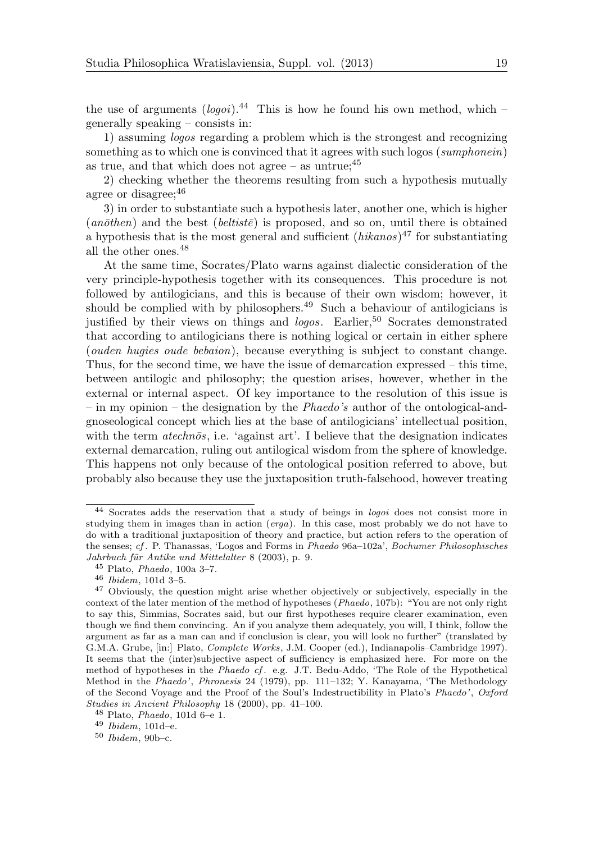the use of arguments  $(logoi)^{44}$  This is how he found his own method, which – generally speaking – consists in:

1) assuming logos regarding a problem which is the strongest and recognizing something as to which one is convinced that it agrees with such logos (sumphonein) as true, and that which does not agree – as untrue;  $45$ 

2) checking whether the theorems resulting from such a hypothesis mutually agree or disagree:  $46$ 

3) in order to substantiate such a hypothesis later, another one, which is higher  $(an\bar{o}then)$  and the best  $(beltist\bar{e})$  is proposed, and so on, until there is obtained a hypothesis that is the most general and sufficient  $(hikanos)^{47}$  for substantiating all the other ones.<sup>48</sup>

At the same time, Socrates/Plato warns against dialectic consideration of the very principle-hypothesis together with its consequences. This procedure is not followed by antilogicians, and this is because of their own wisdom; however, it should be complied with by philosophers.<sup>49</sup> Such a behaviour of antilogicians is justified by their views on things and *logos.* Earlier,<sup>50</sup> Socrates demonstrated that according to antilogicians there is nothing logical or certain in either sphere (ouden hugies oude bebaion), because everything is subject to constant change. Thus, for the second time, we have the issue of demarcation expressed – this time, between antilogic and philosophy; the question arises, however, whether in the external or internal aspect. Of key importance to the resolution of this issue is – in my opinion – the designation by the Phaedo's author of the ontological-andgnoseological concept which lies at the base of antilogicians' intellectual position, with the term  $atechn\bar{o}s$ , i.e. 'against art'. I believe that the designation indicates external demarcation, ruling out antilogical wisdom from the sphere of knowledge. This happens not only because of the ontological position referred to above, but probably also because they use the juxtaposition truth-falsehood, however treating

<sup>44</sup> Socrates adds the reservation that a study of beings in logoi does not consist more in studying them in images than in action ( $erga$ ). In this case, most probably we do not have to do with a traditional juxtaposition of theory and practice, but action refers to the operation of the senses; cf . P. Thanassas, 'Logos and Forms in Phaedo 96a–102a', Bochumer Philosophisches Jahrbuch für Antike und Mittelalter 8 (2003), p. 9.

<sup>45</sup> Plato, Phaedo, 100a 3–7.

<sup>46</sup> Ibidem, 101d 3–5.

<sup>&</sup>lt;sup>47</sup> Obviously, the question might arise whether objectively or subjectively, especially in the context of the later mention of the method of hypotheses (Phaedo, 107b): "You are not only right to say this, Simmias, Socrates said, but our first hypotheses require clearer examination, even though we find them convincing. An if you analyze them adequately, you will, I think, follow the argument as far as a man can and if conclusion is clear, you will look no further" (translated by G.M.A. Grube, [in:] Plato, Complete Works, J.M. Cooper (ed.), Indianapolis–Cambridge 1997). It seems that the (inter)subjective aspect of sufficiency is emphasized here. For more on the method of hypotheses in the Phaedo cf . e.g. J.T. Bedu-Addo, 'The Role of the Hypothetical Method in the Phaedo', Phronesis 24 (1979), pp. 111–132; Y. Kanayama, 'The Methodology of the Second Voyage and the Proof of the Soul's Indestructibility in Plato's Phaedo', Oxford Studies in Ancient Philosophy 18 (2000), pp. 41–100.

 $^{48}$  Plato, *Phaedo*, 101d 6–e 1.

<sup>49</sup> Ibidem, 101d–e.

<sup>50</sup> Ibidem, 90b–c.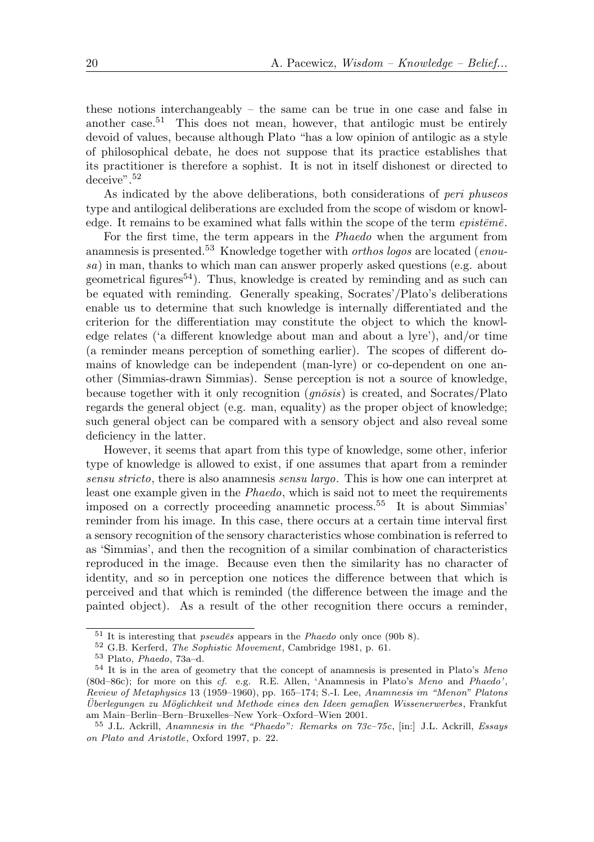these notions interchangeably – the same can be true in one case and false in another case.<sup>51</sup> This does not mean, however, that antilogic must be entirely devoid of values, because although Plato "has a low opinion of antilogic as a style of philosophical debate, he does not suppose that its practice establishes that its practitioner is therefore a sophist. It is not in itself dishonest or directed to deceive".<sup>52</sup>

As indicated by the above deliberations, both considerations of peri phuseos type and antilogical deliberations are excluded from the scope of wisdom or knowledge. It remains to be examined what falls within the scope of the term  $epist\bar{e}m\bar{e}$ .

For the first time, the term appears in the Phaedo when the argument from anamnesis is presented.<sup>53</sup> Knowledge together with *orthos logos* are located (*enou*sa) in man, thanks to which man can answer properly asked questions (e.g. about geometrical figures<sup>54</sup>). Thus, knowledge is created by reminding and as such can be equated with reminding. Generally speaking, Socrates'/Plato's deliberations enable us to determine that such knowledge is internally differentiated and the criterion for the differentiation may constitute the object to which the knowledge relates ('a different knowledge about man and about a lyre'), and/or time (a reminder means perception of something earlier). The scopes of different domains of knowledge can be independent (man-lyre) or co-dependent on one another (Simmias-drawn Simmias). Sense perception is not a source of knowledge, because together with it only recognition  $(gn\bar{o}sis)$  is created, and Socrates/Plato regards the general object (e.g. man, equality) as the proper object of knowledge; such general object can be compared with a sensory object and also reveal some deficiency in the latter.

However, it seems that apart from this type of knowledge, some other, inferior type of knowledge is allowed to exist, if one assumes that apart from a reminder sensu stricto, there is also anamnesis sensu largo. This is how one can interpret at least one example given in the Phaedo, which is said not to meet the requirements imposed on a correctly proceeding anamnetic process.<sup>55</sup> It is about Simmias' reminder from his image. In this case, there occurs at a certain time interval first a sensory recognition of the sensory characteristics whose combination is referred to as 'Simmias', and then the recognition of a similar combination of characteristics reproduced in the image. Because even then the similarity has no character of identity, and so in perception one notices the difference between that which is perceived and that which is reminded (the difference between the image and the painted object). As a result of the other recognition there occurs a reminder,

 $51$  It is interesting that *pseud* $\bar{e}s$  appears in the *Phaedo* only once (90b 8).

<sup>52</sup> G.B. Kerferd, The Sophistic Movement, Cambridge 1981, p. 61.

<sup>53</sup> Plato, Phaedo, 73a–d.

<sup>54</sup> It is in the area of geometry that the concept of anamnesis is presented in Plato's Meno (80d–86c); for more on this cf. e.g. R.E. Allen, 'Anamnesis in Plato's Meno and Phaedo', Review of Metaphysics 13 (1959–1960), pp. 165–174; S.-I. Lee, Anamnesis im "Menon" Platons Uberlegungen zu Möglichkeit und Methode eines den Ideen gemaßen Wissenerwerbes, Frankfut am Main–Berlin–Bern–Bruxelles–New York–Oxford–Wien 2001.

<sup>55</sup> J.L. Ackrill, Anamnesis in the "Phaedo": Remarks on 73c–75c, [in:] J.L. Ackrill, Essays on Plato and Aristotle, Oxford 1997, p. 22.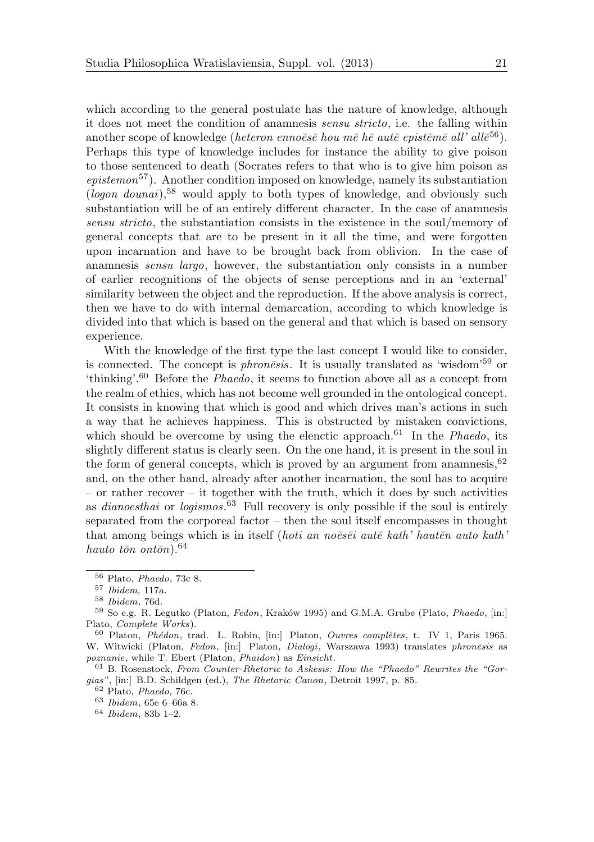which according to the general postulate has the nature of knowledge, although it does not meet the condition of anamnesis sensu stricto, i.e. the falling within another scope of knowledge (heteron ennoësë hou më hë autë epistëmë all' allë<sup>56</sup>). Perhaps this type of knowledge includes for instance the ability to give poison to those sentenced to death (Socrates refers to that who is to give him poison as  $epi$ stemon<sup>57</sup>). Another condition imposed on knowledge, namely its substantiation  $(loqon\ domain)$ ,<sup>58</sup> would apply to both types of knowledge, and obviously such substantiation will be of an entirely different character. In the case of anamnesis sensu stricto, the substantiation consists in the existence in the soul/memory of general concepts that are to be present in it all the time, and were forgotten upon incarnation and have to be brought back from oblivion. In the case of anamnesis sensu largo, however, the substantiation only consists in a number of earlier recognitions of the objects of sense perceptions and in an 'external' similarity between the object and the reproduction. If the above analysis is correct, then we have to do with internal demarcation, according to which knowledge is divided into that which is based on the general and that which is based on sensory experience.

With the knowledge of the first type the last concept I would like to consider, is connected. The concept is *phronesis*. It is usually translated as 'wisdom'<sup>59</sup> or 'thinking'.<sup>60</sup> Before the Phaedo, it seems to function above all as a concept from the realm of ethics, which has not become well grounded in the ontological concept. It consists in knowing that which is good and which drives man's actions in such a way that he achieves happiness. This is obstructed by mistaken convictions, which should be overcome by using the elenctic approach.<sup>61</sup> In the *Phaedo*, its slightly different status is clearly seen. On the one hand, it is present in the soul in the form of general concepts, which is proved by an argument from anamnesis,  $62$ and, on the other hand, already after another incarnation, the soul has to acquire – or rather recover – it together with the truth, which it does by such activities as *dianoesthai* or *logismos*.<sup>63</sup> Full recovery is only possible if the soul is entirely separated from the corporeal factor – then the soul itself encompasses in thought that among beings which is in itself (*hoti an noësëi autë kath*' hautën auto kath' hauto tōn ontōn). $64$ 

<sup>56</sup> Plato, Phaedo, 73c 8.

<sup>57</sup> Ibidem, 117a.

<sup>58</sup> Ibidem, 76d.

<sup>&</sup>lt;sup>59</sup> So e.g. R. Legutko (Platon, *Fedon*, Kraków 1995) and G.M.A. Grube (Plato, *Phaedo*, [in:] Plato, Complete Works).

 $60$  Platon, Phédon, trad. L. Robin, [in:] Platon, Ouvres complètes, t. IV 1, Paris 1965. W. Witwicki (Platon, Fedon, [in:] Platon, Dialogi, Warszawa 1993) translates phronēsis as poznanie, while T. Ebert (Platon, Phaidon) as Einsicht.

 $61$  B. Rosenstock, From Counter-Rhetoric to Askesis: How the "Phaedo" Rewrites the "Gorgias", [in:] B.D. Schildgen (ed.), The Rhetoric Canon, Detroit 1997, p. 85.

<sup>62</sup> Plato, Phaedo, 76c.

<sup>63</sup> Ibidem, 65e 6–66a 8.

<sup>64</sup> Ibidem, 83b 1–2.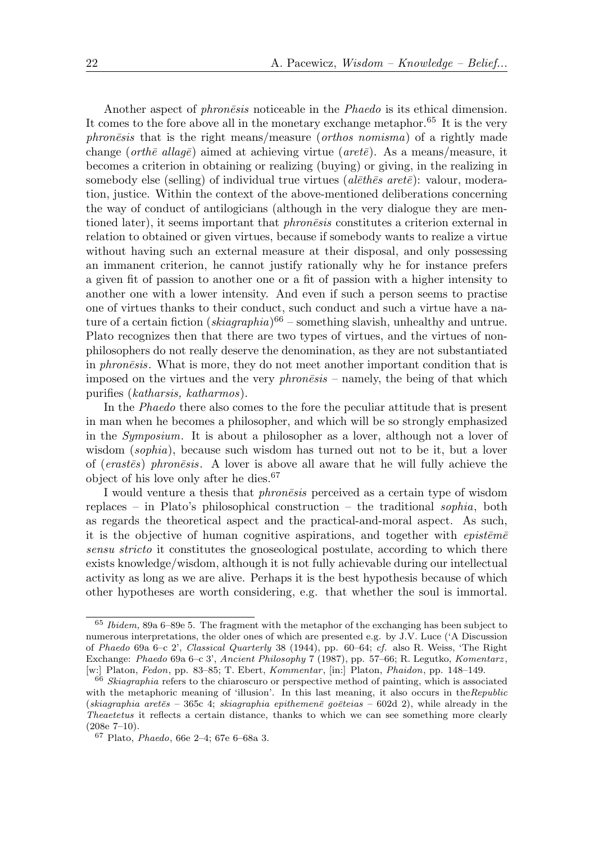Another aspect of *phronesis* noticeable in the *Phaedo* is its ethical dimension. It comes to the fore above all in the monetary exchange metaphor.<sup>65</sup> It is the very  $phone\bar{s}is$  that is the right means/measure (*orthos nomisma*) of a rightly made change (orthē allagē) aimed at achieving virtue (aretē). As a means/measure, it becomes a criterion in obtaining or realizing (buying) or giving, in the realizing in somebody else (selling) of individual true virtues ( $al\bar{e}th\bar{e}s$  aret $\bar{e}$ ): valour, moderation, justice. Within the context of the above-mentioned deliberations concerning the way of conduct of antilogicians (although in the very dialogue they are mentioned later), it seems important that *phronesis* constitutes a criterion external in relation to obtained or given virtues, because if somebody wants to realize a virtue without having such an external measure at their disposal, and only possessing an immanent criterion, he cannot justify rationally why he for instance prefers a given fit of passion to another one or a fit of passion with a higher intensity to another one with a lower intensity. And even if such a person seems to practise one of virtues thanks to their conduct, such conduct and such a virtue have a nature of a certain fiction  $(skiagraphia)^{66}$  – something slavish, unhealthy and untrue. Plato recognizes then that there are two types of virtues, and the virtues of nonphilosophers do not really deserve the denomination, as they are not substantiated in *phronesis*. What is more, they do not meet another important condition that is imposed on the virtues and the very  $phon\bar{e}s$  – namely, the being of that which purifies (katharsis, katharmos).

In the Phaedo there also comes to the fore the peculiar attitude that is present in man when he becomes a philosopher, and which will be so strongly emphasized in the Symposium. It is about a philosopher as a lover, although not a lover of wisdom (sophia), because such wisdom has turned out not to be it, but a lover of (erastes) phronesis. A lover is above all aware that he will fully achieve the object of his love only after he dies.<sup>67</sup>

I would venture a thesis that *phronesis* perceived as a certain type of wisdom replaces – in Plato's philosophical construction – the traditional sophia, both as regards the theoretical aspect and the practical-and-moral aspect. As such, it is the objective of human cognitive aspirations, and together with  $epist\bar{e}m\bar{e}$ sensu stricto it constitutes the gnoseological postulate, according to which there exists knowledge/wisdom, although it is not fully achievable during our intellectual activity as long as we are alive. Perhaps it is the best hypothesis because of which other hypotheses are worth considering, e.g. that whether the soul is immortal.

<sup>65</sup> Ibidem, 89a 6–89e 5. The fragment with the metaphor of the exchanging has been subject to numerous interpretations, the older ones of which are presented e.g. by J.V. Luce ('A Discussion of Phaedo 69a 6–c 2', Classical Quarterly 38 (1944), pp. 60–64; cf. also R. Weiss, 'The Right Exchange: Phaedo 69a 6–c 3', Ancient Philosophy 7 (1987), pp. 57–66; R. Legutko, Komentarz , [w:] Platon, Fedon, pp. 83–85; T. Ebert, Kommentar, [in:] Platon, Phaidon, pp. 148–149.

 $66$  Skiagraphia refers to the chiaroscuro or perspective method of painting, which is associated with the metaphoric meaning of 'illusion'. In this last meaning, it also occurs in the Republic (skiagraphia aretes – 365c 4; skiagraphia epithemene goeteias – 602d 2), while already in the Theaetetus it reflects a certain distance, thanks to which we can see something more clearly (208e 7–10).

<sup>67</sup> Plato, Phaedo, 66e 2–4; 67e 6–68a 3.